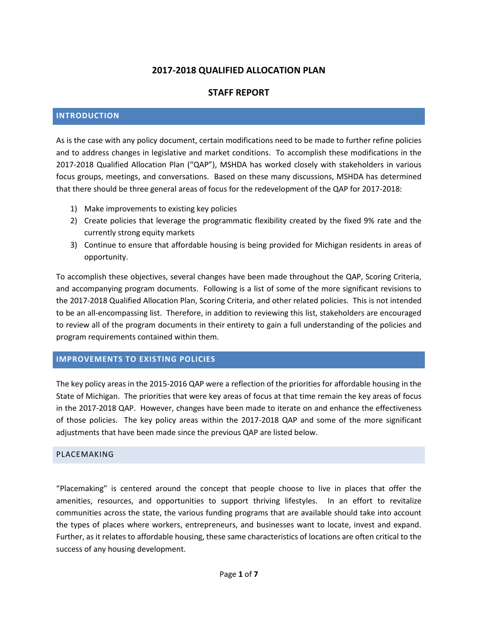# **2017-2018 QUALIFIED ALLOCATION PLAN**

# **STAFF REPORT**

#### **INTRODUCTION**

As is the case with any policy document, certain modifications need to be made to further refine policies and to address changes in legislative and market conditions. To accomplish these modifications in the 2017-2018 Qualified Allocation Plan ("QAP"), MSHDA has worked closely with stakeholders in various focus groups, meetings, and conversations. Based on these many discussions, MSHDA has determined that there should be three general areas of focus for the redevelopment of the QAP for 2017-2018:

- 1) Make improvements to existing key policies
- 2) Create policies that leverage the programmatic flexibility created by the fixed 9% rate and the currently strong equity markets
- 3) Continue to ensure that affordable housing is being provided for Michigan residents in areas of opportunity.

To accomplish these objectives, several changes have been made throughout the QAP, Scoring Criteria, and accompanying program documents. Following is a list of some of the more significant revisions to the 2017-2018 Qualified Allocation Plan, Scoring Criteria, and other related policies. This is not intended to be an all-encompassing list. Therefore, in addition to reviewing this list, stakeholders are encouraged to review all of the program documents in their entirety to gain a full understanding of the policies and program requirements contained within them.

#### **IMPROVEMENTS TO EXISTING POLICIES**

The key policy areas in the 2015-2016 QAP were a reflection of the priorities for affordable housing in the State of Michigan. The priorities that were key areas of focus at that time remain the key areas of focus in the 2017-2018 QAP. However, changes have been made to iterate on and enhance the effectiveness of those policies. The key policy areas within the 2017-2018 QAP and some of the more significant adjustments that have been made since the previous QAP are listed below.

#### PLACEMAKING

"Placemaking" is centered around the concept that people choose to live in places that offer the amenities, resources, and opportunities to support thriving lifestyles. In an effort to revitalize communities across the state, the various funding programs that are available should take into account the types of places where workers, entrepreneurs, and businesses want to locate, invest and expand. Further, as it relates to affordable housing, these same characteristics of locations are often critical to the success of any housing development.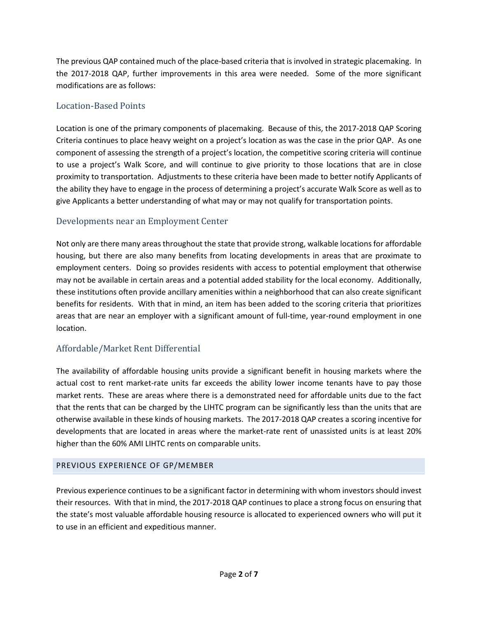The previous QAP contained much of the place-based criteria that is involved in strategic placemaking. In the 2017-2018 QAP, further improvements in this area were needed. Some of the more significant modifications are as follows:

# Location-Based Points

Location is one of the primary components of placemaking. Because of this, the 2017-2018 QAP Scoring Criteria continues to place heavy weight on a project's location as was the case in the prior QAP. As one component of assessing the strength of a project's location, the competitive scoring criteria will continue to use a project's Walk Score, and will continue to give priority to those locations that are in close proximity to transportation. Adjustments to these criteria have been made to better notify Applicants of the ability they have to engage in the process of determining a project's accurate Walk Score as well as to give Applicants a better understanding of what may or may not qualify for transportation points.

# Developments near an Employment Center

Not only are there many areas throughout the state that provide strong, walkable locations for affordable housing, but there are also many benefits from locating developments in areas that are proximate to employment centers. Doing so provides residents with access to potential employment that otherwise may not be available in certain areas and a potential added stability for the local economy. Additionally, these institutions often provide ancillary amenities within a neighborhood that can also create significant benefits for residents. With that in mind, an item has been added to the scoring criteria that prioritizes areas that are near an employer with a significant amount of full-time, year-round employment in one location.

# Affordable/Market Rent Differential

The availability of affordable housing units provide a significant benefit in housing markets where the actual cost to rent market-rate units far exceeds the ability lower income tenants have to pay those market rents. These are areas where there is a demonstrated need for affordable units due to the fact that the rents that can be charged by the LIHTC program can be significantly less than the units that are otherwise available in these kinds of housing markets. The 2017-2018 QAP creates a scoring incentive for developments that are located in areas where the market-rate rent of unassisted units is at least 20% higher than the 60% AMI LIHTC rents on comparable units.

# PREVIOUS EXPERIENCE OF GP/MEMBER

Previous experience continues to be a significant factor in determining with whom investors should invest their resources. With that in mind, the 2017-2018 QAP continues to place a strong focus on ensuring that the state's most valuable affordable housing resource is allocated to experienced owners who will put it to use in an efficient and expeditious manner.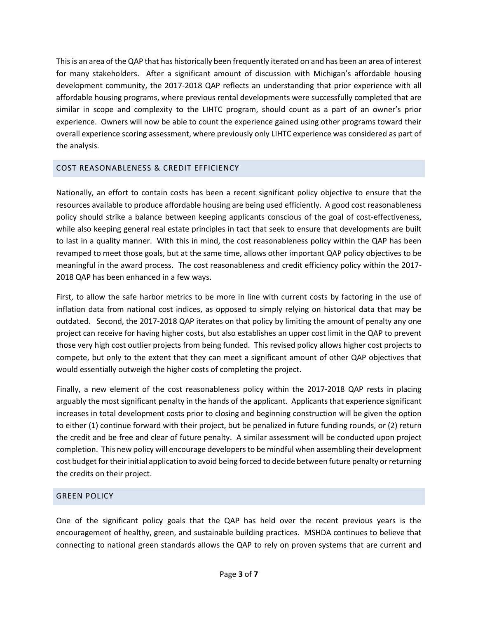This is an area of the QAP that has historically been frequently iterated on and has been an area of interest for many stakeholders. After a significant amount of discussion with Michigan's affordable housing development community, the 2017-2018 QAP reflects an understanding that prior experience with all affordable housing programs, where previous rental developments were successfully completed that are similar in scope and complexity to the LIHTC program, should count as a part of an owner's prior experience. Owners will now be able to count the experience gained using other programs toward their overall experience scoring assessment, where previously only LIHTC experience was considered as part of the analysis.

# COST REASONABLENESS & CREDIT EFFICIENCY

Nationally, an effort to contain costs has been a recent significant policy objective to ensure that the resources available to produce affordable housing are being used efficiently. A good cost reasonableness policy should strike a balance between keeping applicants conscious of the goal of cost-effectiveness, while also keeping general real estate principles in tact that seek to ensure that developments are built to last in a quality manner. With this in mind, the cost reasonableness policy within the QAP has been revamped to meet those goals, but at the same time, allows other important QAP policy objectives to be meaningful in the award process. The cost reasonableness and credit efficiency policy within the 2017- 2018 QAP has been enhanced in a few ways.

First, to allow the safe harbor metrics to be more in line with current costs by factoring in the use of inflation data from national cost indices, as opposed to simply relying on historical data that may be outdated. Second, the 2017-2018 QAP iterates on that policy by limiting the amount of penalty any one project can receive for having higher costs, but also establishes an upper cost limit in the QAP to prevent those very high cost outlier projects from being funded. This revised policy allows higher cost projects to compete, but only to the extent that they can meet a significant amount of other QAP objectives that would essentially outweigh the higher costs of completing the project.

Finally, a new element of the cost reasonableness policy within the 2017-2018 QAP rests in placing arguably the most significant penalty in the hands of the applicant. Applicants that experience significant increases in total development costs prior to closing and beginning construction will be given the option to either (1) continue forward with their project, but be penalized in future funding rounds, or (2) return the credit and be free and clear of future penalty. A similar assessment will be conducted upon project completion. This new policy will encourage developers to be mindful when assembling their development cost budget for their initial application to avoid being forced to decide between future penalty or returning the credits on their project.

# GREEN POLICY

One of the significant policy goals that the QAP has held over the recent previous years is the encouragement of healthy, green, and sustainable building practices. MSHDA continues to believe that connecting to national green standards allows the QAP to rely on proven systems that are current and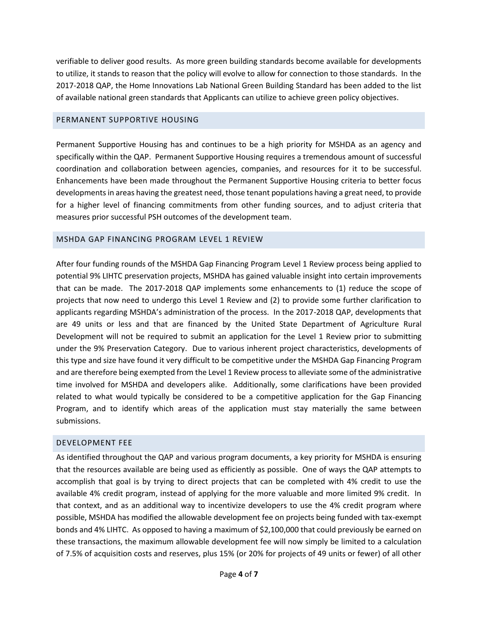verifiable to deliver good results. As more green building standards become available for developments to utilize, it stands to reason that the policy will evolve to allow for connection to those standards. In the 2017-2018 QAP, the Home Innovations Lab National Green Building Standard has been added to the list of available national green standards that Applicants can utilize to achieve green policy objectives.

#### PERMANENT SUPPORTIVE HOUSING

Permanent Supportive Housing has and continues to be a high priority for MSHDA as an agency and specifically within the QAP. Permanent Supportive Housing requires a tremendous amount of successful coordination and collaboration between agencies, companies, and resources for it to be successful. Enhancements have been made throughout the Permanent Supportive Housing criteria to better focus developments in areas having the greatest need, those tenant populations having a great need, to provide for a higher level of financing commitments from other funding sources, and to adjust criteria that measures prior successful PSH outcomes of the development team.

# MSHDA GAP FINANCING PROGRAM LEVEL 1 REVIEW

After four funding rounds of the MSHDA Gap Financing Program Level 1 Review process being applied to potential 9% LIHTC preservation projects, MSHDA has gained valuable insight into certain improvements that can be made. The 2017-2018 QAP implements some enhancements to (1) reduce the scope of projects that now need to undergo this Level 1 Review and (2) to provide some further clarification to applicants regarding MSHDA's administration of the process. In the 2017-2018 QAP, developments that are 49 units or less and that are financed by the United State Department of Agriculture Rural Development will not be required to submit an application for the Level 1 Review prior to submitting under the 9% Preservation Category. Due to various inherent project characteristics, developments of this type and size have found it very difficult to be competitive under the MSHDA Gap Financing Program and are therefore being exempted from the Level 1 Review process to alleviate some of the administrative time involved for MSHDA and developers alike. Additionally, some clarifications have been provided related to what would typically be considered to be a competitive application for the Gap Financing Program, and to identify which areas of the application must stay materially the same between submissions.

# DEVELOPMENT FEE

As identified throughout the QAP and various program documents, a key priority for MSHDA is ensuring that the resources available are being used as efficiently as possible. One of ways the QAP attempts to accomplish that goal is by trying to direct projects that can be completed with 4% credit to use the available 4% credit program, instead of applying for the more valuable and more limited 9% credit. In that context, and as an additional way to incentivize developers to use the 4% credit program where possible, MSHDA has modified the allowable development fee on projects being funded with tax-exempt bonds and 4% LIHTC. As opposed to having a maximum of \$2,100,000 that could previously be earned on these transactions, the maximum allowable development fee will now simply be limited to a calculation of 7.5% of acquisition costs and reserves, plus 15% (or 20% for projects of 49 units or fewer) of all other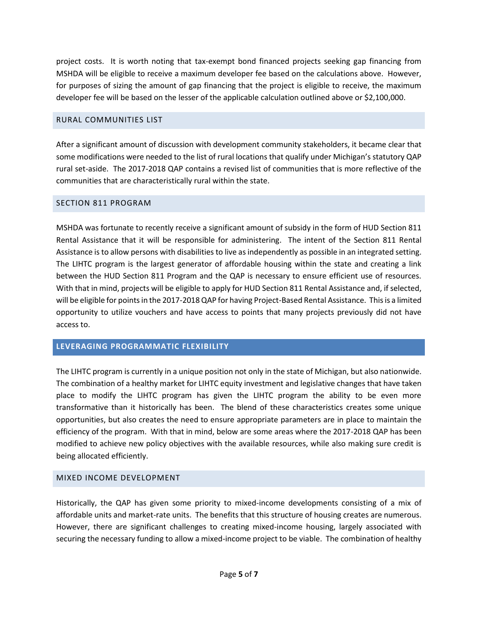project costs. It is worth noting that tax-exempt bond financed projects seeking gap financing from MSHDA will be eligible to receive a maximum developer fee based on the calculations above. However, for purposes of sizing the amount of gap financing that the project is eligible to receive, the maximum developer fee will be based on the lesser of the applicable calculation outlined above or \$2,100,000.

### RURAL COMMUNITIES LIST

After a significant amount of discussion with development community stakeholders, it became clear that some modifications were needed to the list of rural locations that qualify under Michigan's statutory QAP rural set-aside. The 2017-2018 QAP contains a revised list of communities that is more reflective of the communities that are characteristically rural within the state.

# SECTION 811 PROGRAM

MSHDA was fortunate to recently receive a significant amount of subsidy in the form of HUD Section 811 Rental Assistance that it will be responsible for administering. The intent of the Section 811 Rental Assistance is to allow persons with disabilities to live as independently as possible in an integrated setting. The LIHTC program is the largest generator of affordable housing within the state and creating a link between the HUD Section 811 Program and the QAP is necessary to ensure efficient use of resources. With that in mind, projects will be eligible to apply for HUD Section 811 Rental Assistance and, if selected, will be eligible for points in the 2017-2018 QAP for having Project-Based Rental Assistance. This is a limited opportunity to utilize vouchers and have access to points that many projects previously did not have access to.

# **LEVERAGING PROGRAMMATIC FLEXIBILITY**

The LIHTC program is currently in a unique position not only in the state of Michigan, but also nationwide. The combination of a healthy market for LIHTC equity investment and legislative changes that have taken place to modify the LIHTC program has given the LIHTC program the ability to be even more transformative than it historically has been. The blend of these characteristics creates some unique opportunities, but also creates the need to ensure appropriate parameters are in place to maintain the efficiency of the program. With that in mind, below are some areas where the 2017-2018 QAP has been modified to achieve new policy objectives with the available resources, while also making sure credit is being allocated efficiently.

# MIXED INCOME DEVELOPMENT

Historically, the QAP has given some priority to mixed-income developments consisting of a mix of affordable units and market-rate units. The benefits that this structure of housing creates are numerous. However, there are significant challenges to creating mixed-income housing, largely associated with securing the necessary funding to allow a mixed-income project to be viable. The combination of healthy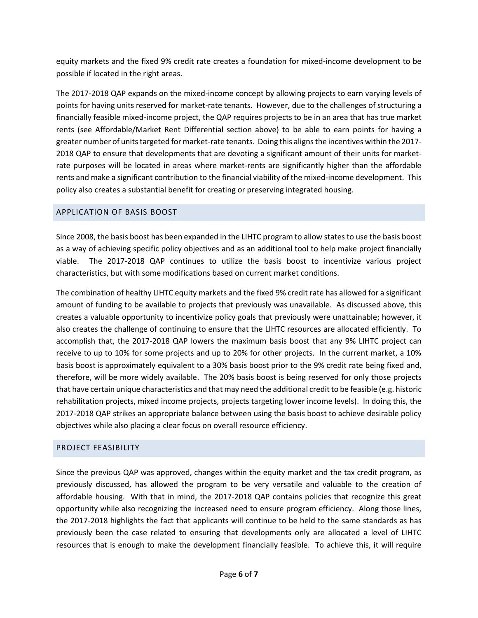equity markets and the fixed 9% credit rate creates a foundation for mixed-income development to be possible if located in the right areas.

The 2017-2018 QAP expands on the mixed-income concept by allowing projects to earn varying levels of points for having units reserved for market-rate tenants. However, due to the challenges of structuring a financially feasible mixed-income project, the QAP requires projects to be in an area that has true market rents (see Affordable/Market Rent Differential section above) to be able to earn points for having a greater number of units targeted for market-rate tenants. Doing this aligns the incentives within the 2017- 2018 QAP to ensure that developments that are devoting a significant amount of their units for marketrate purposes will be located in areas where market-rents are significantly higher than the affordable rents and make a significant contribution to the financial viability of the mixed-income development. This policy also creates a substantial benefit for creating or preserving integrated housing.

# APPLICATION OF BASIS BOOST

Since 2008, the basis boost has been expanded in the LIHTC program to allow states to use the basis boost as a way of achieving specific policy objectives and as an additional tool to help make project financially viable. The 2017-2018 QAP continues to utilize the basis boost to incentivize various project characteristics, but with some modifications based on current market conditions.

The combination of healthy LIHTC equity markets and the fixed 9% credit rate has allowed for a significant amount of funding to be available to projects that previously was unavailable. As discussed above, this creates a valuable opportunity to incentivize policy goals that previously were unattainable; however, it also creates the challenge of continuing to ensure that the LIHTC resources are allocated efficiently. To accomplish that, the 2017-2018 QAP lowers the maximum basis boost that any 9% LIHTC project can receive to up to 10% for some projects and up to 20% for other projects. In the current market, a 10% basis boost is approximately equivalent to a 30% basis boost prior to the 9% credit rate being fixed and, therefore, will be more widely available. The 20% basis boost is being reserved for only those projects that have certain unique characteristics and that may need the additional credit to be feasible (e.g. historic rehabilitation projects, mixed income projects, projects targeting lower income levels). In doing this, the 2017-2018 QAP strikes an appropriate balance between using the basis boost to achieve desirable policy objectives while also placing a clear focus on overall resource efficiency.

# PROJECT FEASIBILITY

Since the previous QAP was approved, changes within the equity market and the tax credit program, as previously discussed, has allowed the program to be very versatile and valuable to the creation of affordable housing. With that in mind, the 2017-2018 QAP contains policies that recognize this great opportunity while also recognizing the increased need to ensure program efficiency. Along those lines, the 2017-2018 highlights the fact that applicants will continue to be held to the same standards as has previously been the case related to ensuring that developments only are allocated a level of LIHTC resources that is enough to make the development financially feasible. To achieve this, it will require